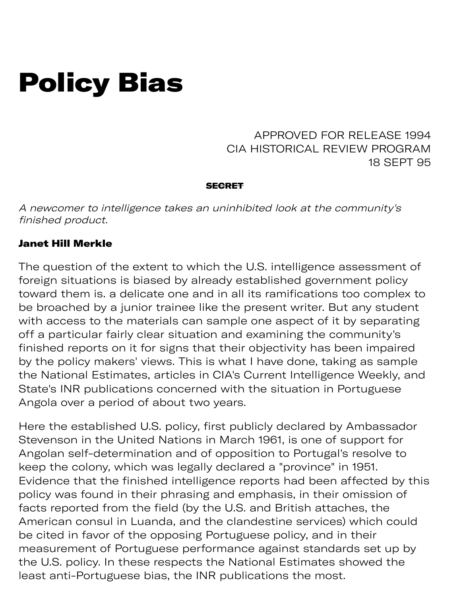# Policy Bias

APPROVED FOR RELEASE 1994 CIA HISTORICAL REVIEW PROGRAM 18 SEPT 95

#### **SECRET**

A newcomer to intelligence takes an uninhibited look at the community's finished product.

### Janet Hill Merkle

The question of the extent to which the U.S. intelligence assessment of foreign situations is biased by already established government policy toward them is. a delicate one and in all its ramifications too complex to be broached by a junior trainee like the present writer. But any student with access to the materials can sample one aspect of it by separating off a particular fairly clear situation and examining the community's finished reports on it for signs that their objectivity has been impaired by the policy makers' views. This is what I have done, taking as sample the National Estimates, articles in CIA's Current Intelligence Weekly, and State's INR publications concerned with the situation in Portuguese Angola over a period of about two years.

Here the established U.S. policy, first publicly declared by Ambassador Stevenson in the United Nations in March 1961, is one of support for Angolan self-determination and of opposition to Portugal's resolve to keep the colony, which was legally declared a "province" in 1951. Evidence that the finished intelligence reports had been affected by this policy was found in their phrasing and emphasis, in their omission of facts reported from the field (by the U.S. and British attaches, the American consul in Luanda, and the clandestine services) which could be cited in favor of the opposing Portuguese policy, and in their measurement of Portuguese performance against standards set up by the U.S. policy. In these respects the National Estimates showed the least anti-Portuguese bias, the INR publications the most.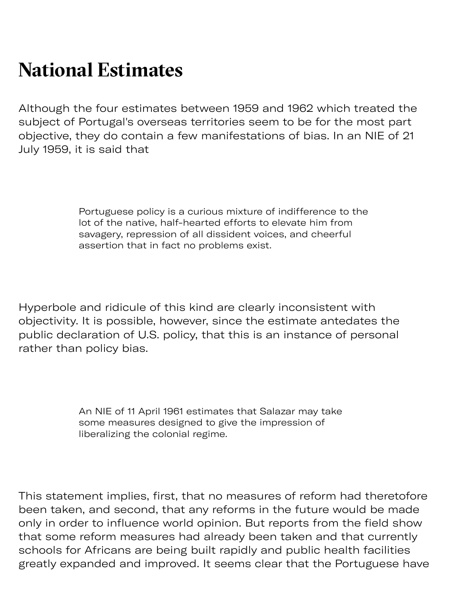## **National Estimates**

Although the four estimates between 1959 and 1962 which treated the subject of Portugal's overseas territories seem to be for the most part objective, they do contain a few manifestations of bias. In an NIE of 21 July 1959, it is said that

> Portuguese policy is a curious mixture of indifference to the lot of the native, half-hearted efforts to elevate him from savagery, repression of all dissident voices, and cheerful assertion that in fact no problems exist.

Hyperbole and ridicule of this kind are clearly inconsistent with objectivity. It is possible, however, since the estimate antedates the public declaration of U.S. policy, that this is an instance of personal rather than policy bias.

> An NIE of 11 April 1961 estimates that Salazar may take some measures designed to give the impression of liberalizing the colonial regime.

This statement implies, first, that no measures of reform had theretofore been taken, and second, that any reforms in the future would be made only in order to influence world opinion. But reports from the field show that some reform measures had already been taken and that currently schools for Africans are being built rapidly and public health facilities greatly expanded and improved. It seems clear that the Portuguese have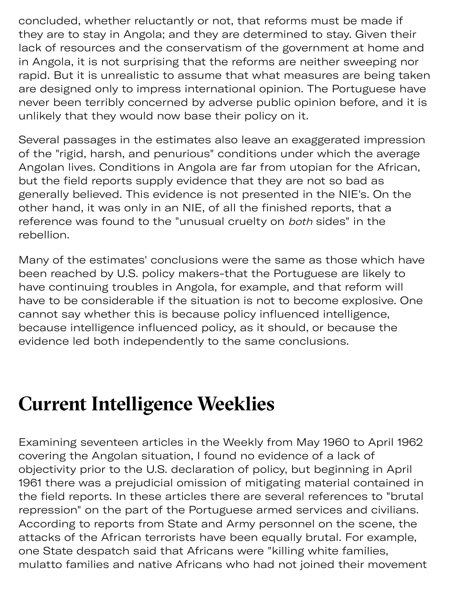concluded, whether reluctantly or not, that reforms must be made if they are to stay in Angola; and they are determined to stay. Given their lack of resources and the conservatism of the government at home and in Angola, it is not surprising that the reforms are neither sweeping nor rapid. But it is unrealistic to assume that what measures are being taken are designed only to impress international opinion. The Portuguese have never been terribly concerned by adverse public opinion before, and it is unlikely that they would now base their policy on it.

Several passages in the estimates also leave an exaggerated impression of the "rigid, harsh, and penurious" conditions under which the average Angolan lives. Conditions in Angola are far from utopian for the African, but the field reports supply evidence that they are not so bad as generally believed. This evidence is not presented in the NIE's. On the other hand, it was only in an NIE, of all the finished reports, that a reference was found to the "unusual cruelty on both sides" in the rebellion.

Many of the estimates' conclusions were the same as those which have been reached by U.S. policy makers-that the Portuguese are likely to have continuing troubles in Angola, for example, and that reform will have to be considerable if the situation is not to become explosive. One cannot say whether this is because policy influenced intelligence, because intelligence influenced policy, as it should, or because the evidence led both independently to the same conclusions.

### **Current Intelligence Weeklies**

Examining seventeen articles in the Weekly from May 1960 to April 1962 covering the Angolan situation, I found no evidence of a lack of objectivity prior to the U.S. declaration of policy, but beginning in April 1961 there was a prejudicial omission of mitigating material contained in the field reports. In these articles there are several references to "brutal repression" on the part of the Portuguese armed services and civilians. According to reports from State and Army personnel on the scene, the attacks of the African terrorists have been equally brutal. For example, one State despatch said that Africans were "killing white families, mulatto families and native Africans who had not joined their movement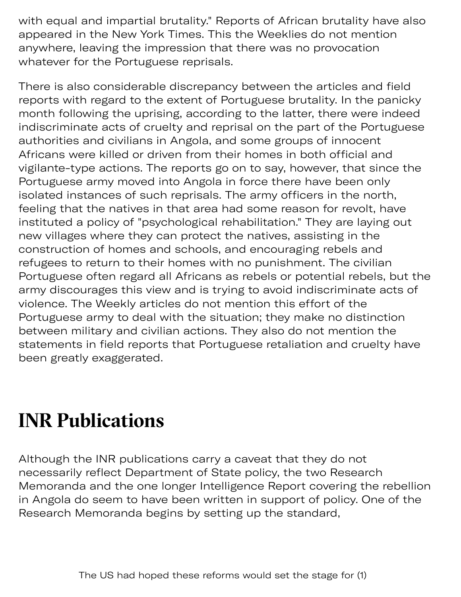with equal and impartial brutality." Reports of African brutality have also appeared in the New York Times. This the Weeklies do not mention anywhere, leaving the impression that there was no provocation whatever for the Portuguese reprisals.

There is also considerable discrepancy between the articles and field reports with regard to the extent of Portuguese brutality. In the panicky month following the uprising, according to the latter, there were indeed indiscriminate acts of cruelty and reprisal on the part of the Portuguese authorities and civilians in Angola, and some groups of innocent Africans were killed or driven from their homes in both official and vigilante-type actions. The reports go on to say, however, that since the Portuguese army moved into Angola in force there have been only isolated instances of such reprisals. The army officers in the north, feeling that the natives in that area had some reason for revolt, have instituted a policy of "psychological rehabilitation." They are laying out new villages where they can protect the natives, assisting in the construction of homes and schools, and encouraging rebels and refugees to return to their homes with no punishment. The civilian Portuguese often regard all Africans as rebels or potential rebels, but the army discourages this view and is trying to avoid indiscriminate acts of violence. The Weekly articles do not mention this effort of the Portuguese army to deal with the situation; they make no distinction between military and civilian actions. They also do not mention the statements in field reports that Portuguese retaliation and cruelty have been greatly exaggerated.

### **INR Publications**

Although the INR publications carry a caveat that they do not necessarily reflect Department of State policy, the two Research Memoranda and the one longer Intelligence Report covering the rebellion in Angola do seem to have been written in support of policy. One of the Research Memoranda begins by setting up the standard,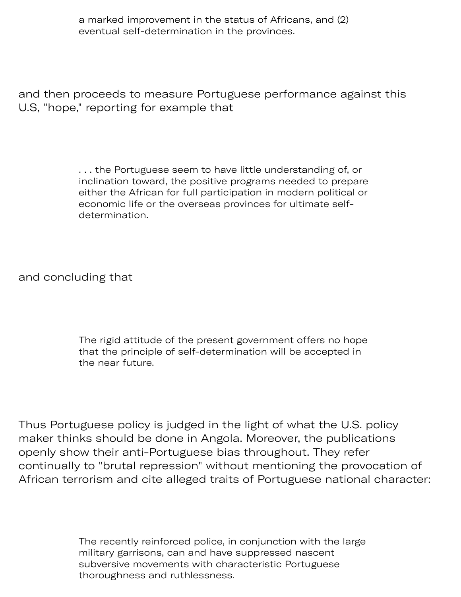a marked improvement in the status of Africans, and (2) eventual self-determination in the provinces.

and then proceeds to measure Portuguese performance against this U.S, "hope," reporting for example that

> . . . the Portuguese seem to have little understanding of, or inclination toward, the positive programs needed to prepare either the African for full participation in modern political or economic life or the overseas provinces for ultimate selfdetermination.

and concluding that

The rigid attitude of the present government offers no hope that the principle of self-determination will be accepted in the near future.

Thus Portuguese policy is judged in the light of what the U.S. policy maker thinks should be done in Angola. Moreover, the publications openly show their anti-Portuguese bias throughout. They refer continually to "brutal repression" without mentioning the provocation of African terrorism and cite alleged traits of Portuguese national character:

> The recently reinforced police, in conjunction with the large military garrisons, can and have suppressed nascent subversive movements with characteristic Portuguese thoroughness and ruthlessness.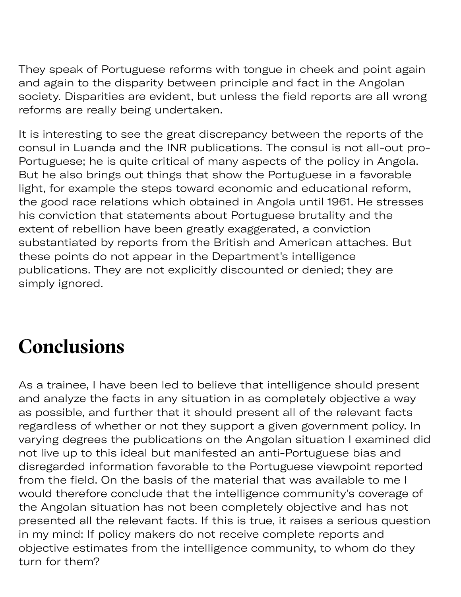They speak of Portuguese reforms with tongue in cheek and point again and again to the disparity between principle and fact in the Angolan society. Disparities are evident, but unless the field reports are all wrong reforms are really being undertaken.

It is interesting to see the great discrepancy between the reports of the consul in Luanda and the INR publications. The consul is not all-out pro-Portuguese; he is quite critical of many aspects of the policy in Angola. But he also brings out things that show the Portuguese in a favorable light, for example the steps toward economic and educational reform, the good race relations which obtained in Angola until 1961. He stresses his conviction that statements about Portuguese brutality and the extent of rebellion have been greatly exaggerated, a conviction substantiated by reports from the British and American attaches. But these points do not appear in the Department's intelligence publications. They are not explicitly discounted or denied; they are simply ignored.

# **Conclusions**

As a trainee, I have been led to believe that intelligence should present and analyze the facts in any situation in as completely objective a way as possible, and further that it should present all of the relevant facts regardless of whether or not they support a given government policy. In varying degrees the publications on the Angolan situation I examined did not live up to this ideal but manifested an anti-Portuguese bias and disregarded information favorable to the Portuguese viewpoint reported from the field. On the basis of the material that was available to me I would therefore conclude that the intelligence community's coverage of the Angolan situation has not been completely objective and has not presented all the relevant facts. If this is true, it raises a serious question in my mind: If policy makers do not receive complete reports and objective estimates from the intelligence community, to whom do they turn for them?